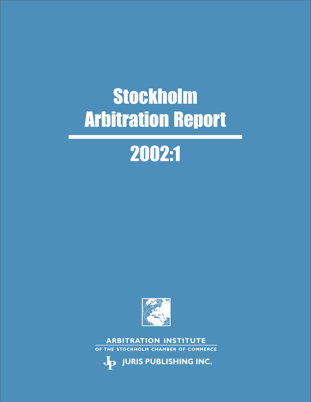

**OF THE STOCKHOLM CHAMBER OF COMMERCE**

**ARBITRATION INSTITUTE**



# 2002:1

## Stockholm Arbitration Report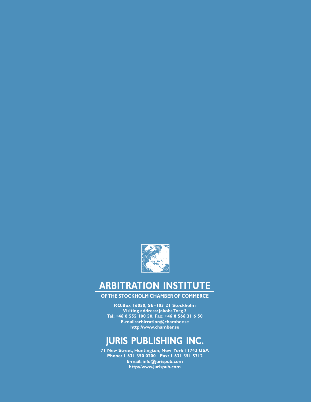

## **ARBITRATION INSTITUTE**

**OF THE STOCKHOLM CHAMBER OF COMMERCE**

**P.O.Box 16050, SE–103 21 Stockholm Visiting address: Jakobs Torg 3 Tel: +46 8 555 100 50, Fax: +46 8 566 31 6 50 E-mail: arbitration@chamber.se http://www.chamber.se**

## **JURIS PUBLISHING INC.**

**71 New Street, Huntington, New York 11743 USA Phone: 1 631 350 0200 Fax: 1 631 351 5712 E-mail: info@jurispub.com http://www.jurispub.com**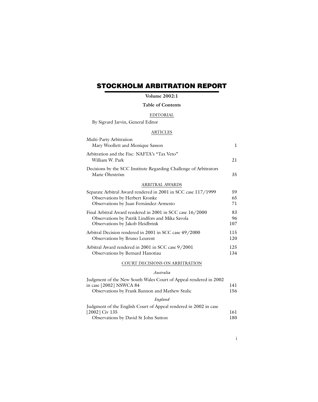### **STOCKHOLM ARBITRATION REPORT**

#### **Volume 2002:1**

#### **Table of Contents**

#### EDITORIAL

| By Sigvard Jarvin, General Editor                                                   |     |
|-------------------------------------------------------------------------------------|-----|
| <b>ARTICLES</b>                                                                     |     |
| Multi-Party Arbitration<br>Mary Woollett and Monique Sasson                         | 1   |
| Arbitration and the Fisc: NAFTA's "Tax Veto"<br>William W. Park                     | 21  |
| Decisions by the SCC Institute Regarding Challenge of Arbitrators<br>Marie Öhrström | 35  |
| ARBITRAL AWARDS                                                                     |     |
| Separate Arbitral Award rendered in 2001 in SCC case 117/1999                       | 59  |
| Observations by Herbert Kronke                                                      | 65  |
| Observations by Juan Fernández-Armesto                                              | 71  |
| Final Arbitral Award rendered in 2001 in SCC case 16/2000                           | 83  |
| Observations by Patrik Lindfors and Mika Savola                                     | 96  |
| Observations by Jakob Heidbrink                                                     | 107 |
| Arbitral Decision rendered in 2001 in SCC case 49/2000                              | 115 |
| Observations by Bruno Leurent                                                       | 120 |
| Arbitral Award rendered in 2001 in SCC case 9/2001                                  | 125 |
| Observations by Bernard Hanotiau                                                    | 134 |

#### COURT DECISIONS ON ARBITRATION

#### *Australia*

| Judgment of the New South Wales Court of Appeal rendered in 2002 |     |
|------------------------------------------------------------------|-----|
| in case [2002] NSWCA 84                                          | 141 |
| Observations by Frank Bannon and Mathew Stulic                   | 156 |
| England                                                          |     |
| Judgment of the English Court of Appeal rendered in 2002 in case |     |
| $[2002]$ Civ 135                                                 | 161 |
| Observations by David St John Sutton                             | 180 |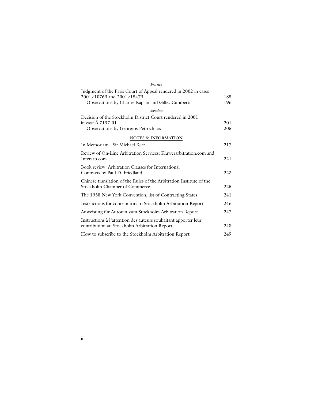| France                                                                                                                                              |            |
|-----------------------------------------------------------------------------------------------------------------------------------------------------|------------|
| Judgment of the Paris Court of Appeal rendered in 2002 in cases<br>2001/10769 and 2001/15479<br>Observations by Charles Kaplan and Gilles Cuniberti | 185<br>196 |
| Sweden                                                                                                                                              |            |
| Decision of the Stockholm District Court rendered in 2001<br>in case $\ddot{A}$ 7197-01<br>Observations by Georgios Petrochilos                     | 201<br>205 |
| NOTES & INFORMATION                                                                                                                                 |            |
| In Memoriam - Sir Michael Kerr                                                                                                                      | 217        |
| Review of On-Line Arbitration Services: Kluwerarbitration.com and<br>Interarb.com                                                                   | 221        |
| Book review: Arbitration Clauses for International<br>Contracts by Paul D. Friedland                                                                | 223        |
| Chinese translation of the Rules of the Arbitration Institute of the<br>Stockholm Chamber of Commerce                                               | 225        |
| The 1958 New York Convention, list of Contracting States                                                                                            | 241        |
| Instructions for contributors to Stockholm Arbitration Report                                                                                       | 246        |
| Anweisung für Autoren zum Stockholm Arbitration Report                                                                                              | 247        |
| Instructions à l'attention des auteurs souhaitant apporter leur<br>contribution au Stockholm Arbitration Report                                     | 248        |
| How to subscribe to the Stockholm Arbitration Report                                                                                                | 249        |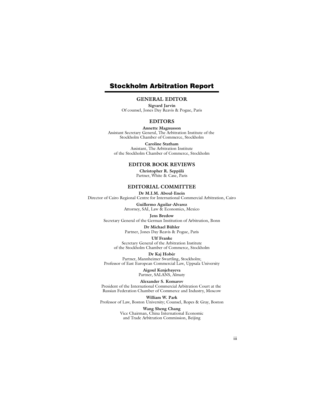#### **Stockholm Arbitration Report**

#### **GENERAL EDITOR**

**Sigvard Jarvin** Of counsel, Jones Day Reavis & Pogue, Paris

#### **EDITORS**

**Annette Magnusson** Assistant Secretary General, The Arbitration Institute of the Stockholm Chamber of Commerce, Stockholm

**Caroline Statham** Assistant, The Arbitration Institute of the Stockholm Chamber of Commerce, Stockholm

#### **EDITOR BOOK REVIEWS**

**Christopher R. Seppälä** Partner, White & Case, Paris

#### **EDITORIAL COMMITTEE**

**Dr M.I.M. Aboul-Enein** Director of Cairo Regional Centre for International Commercial Arbitration, Cairo

> **Guillermo Aguilar-Alvarez** Attorney, SAI, Law & Economics, Mexico

**Jens Bredow** Secretary General of the German Institution of Arbitration, Bonn

#### **Dr Michael Bühler**

Partner, Jones Day Reavis & Pogue, Paris

#### **Ulf Franke**

Secretary General of the Arbitration Institute of the Stockholm Chamber of Commerce, Stockholm

**Dr Kaj Hobér**

Partner, Mannheimer Swartling, Stockholm; Professor of East European Commercial Law, Uppsala University

> **Aigoul Kenjebayeva** Partner, SALANS, Almaty

#### **Alexander S. Komarov**

President of the International Commercial Arbitration Court at the Russian Federation Chamber of Commerce and Industry, Moscow

**William W. Park**

Professor of Law, Boston University; Counsel, Ropes & Gray, Boston

**Wang Sheng Chang** Vice Chairman, China International Economic and Trade Arbitration Commission, Beijing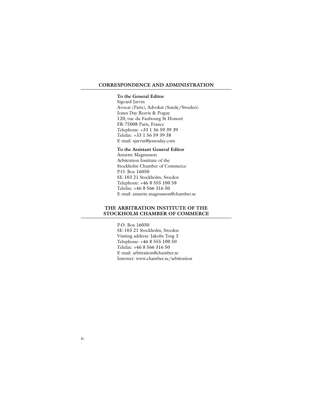#### **CORRESPONDENCE AND ADMINISTRATION**

#### **To the General Editor**

Sigvard Jarvin Avocat (Paris), Advokat (Suède/Sweden) Jones Day Reavis & Pogue 120, rue du Faubourg St Honoré FR-75008 Paris, France Telephone: +33 1 56 59 39 39 Telefax: +33 1 56 59 39 38 E-mail: sjarvin@jonesday.com

#### **To the Assistant General Editor**

Annette Magnusson Arbitration Institute of the Stockholm Chamber of Commerce P.O. Box 16050 SE-103 21 Stockholm, Sweden Telephone: +46 8 555 100 58 Telefax: +46 8 566 316 50 E-mail: annette.magnusson@chamber.se

#### **THE ARBITRATION INSTITUTE OF THE STOCKHOLM CHAMBER OF COMMERCE**

P.O. Box 16050 SE-103 21 Stockholm, Sweden Visiting address: Jakobs Torg 3 Telephone: +46 8 555 100 50 Telefax: +46 8 566 316 50 E-mail: arbitration@chamber.se Internet: www.chamber.se/arbitration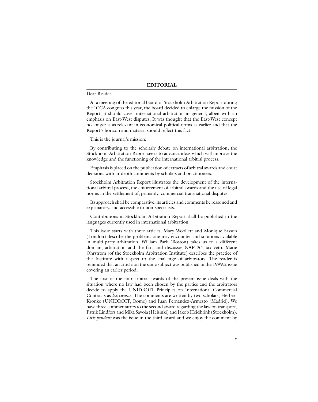#### **EDITORIAL**

#### Dear Reader,

At a meeting of the editorial board of Stockholm Arbitration Report during the ICCA congress this year, the board decided to enlarge the mission of the Report; it should cover international arbitration in general, albeit with an emphasis on East-West disputes. It was thought that the East-West concept no longer is as relevant in economical-political terms as earlier and that the Report's horizon and material should reflect this fact.

#### This is the journal's mission:

By contributing to the scholarly debate on international arbitration, the Stockholm Arbitration Report seeks to advance ideas which will improve the knowledge and the functioning of the international arbitral process.

Emphasis is placed on the publication of extracts of arbitral awards and court decisions with in-depth comments by scholars and practitioners.

Stockholm Arbitration Report illustrates the development of the international arbitral process, the enforcement of arbitral awards and the use of legal norms in the settlement of, primarily, commercial transnational disputes.

Its approach shall be comparative, its articles and comments be reasoned and explanatory, and accessible to non-specialists.

Contributions in Stockholm Arbitration Report shall be published in the languages currently used in international arbitration.

This issue starts with three articles. Mary Woollett and Monique Sasson (London) describe the problems one may encounter and solutions available in multi-party arbitration. William Park (Boston) takes us to a different domain, arbitration and the fisc, and discusses NAFTA's tax veto. Marie Öhrström (of the Stockholm Arbitration Institute) describes the practice of the Institute with respect to the challenge of arbitrators. The reader is reminded that an article on the same subject was published in the 1999:2 issue covering an earlier period.

The first of the four arbitral awards of the present issue deals with the situation where no law had been chosen by the parties and the arbitrators decide to apply the UNIDROIT Principles on International Commercial Contracts as *lex causae*. The comments are written by two scholars, Herbert Kronke (UNIDROIT, Rome) and Juan Fernández-Armesto (Madrid). We have three commentators to the second award regarding the law on transport, Patrik Lindfors and Mika Savola (Helsinki) and Jakob Heidbrink (Stockholm). *Litis pendens* was the issue in the third award and we enjoy the comment by